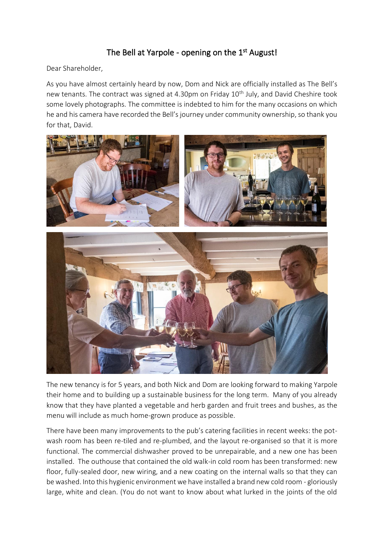## The Bell at Yarpole - opening on the 1<sup>st</sup> August!

Dear Shareholder,

As you have almost certainly heard by now, Dom and Nick are officially installed as The Bell's new tenants. The contract was signed at 4.30pm on Friday 10<sup>th</sup> July, and David Cheshire took some lovely photographs. The committee is indebted to him for the many occasions on which he and his camera have recorded the Bell's journey under community ownership, so thank you for that, David.



The new tenancy is for 5 years, and both Nick and Dom are looking forward to making Yarpole their home and to building up a sustainable business for the long term. Many of you already know that they have planted a vegetable and herb garden and fruit trees and bushes, as the menu will include as much home-grown produce as possible.

There have been many improvements to the pub's catering facilities in recent weeks: the potwash room has been re-tiled and re-plumbed, and the layout re-organised so that it is more functional. The commercial dishwasher proved to be unrepairable, and a new one has been installed. The outhouse that contained the old walk-in cold room has been transformed: new floor, fully-sealed door, new wiring, and a new coating on the internal walls so that they can be washed. Into this hygienic environment we have installed a brand new cold room - gloriously large, white and clean. (You do not want to know about what lurked in the joints of the old